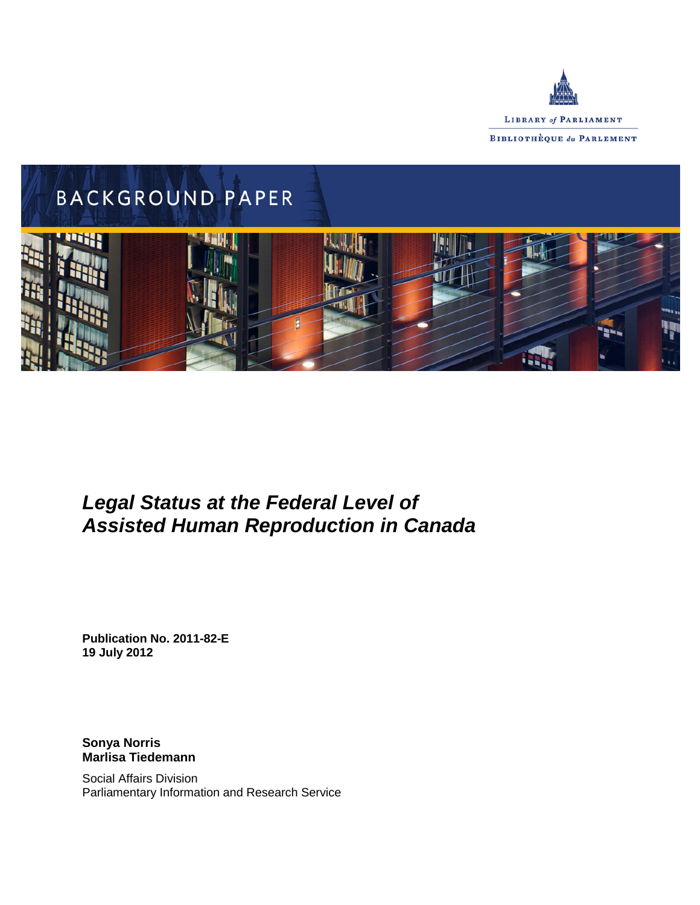



# *Legal Status at the Federal Level of Assisted Human Reproduction in Canada*

**Publication No. 2011-82-E 19 July 2012**

**Sonya Norris Marlisa Tiedemann**

Social Affairs Division Parliamentary Information and Research Service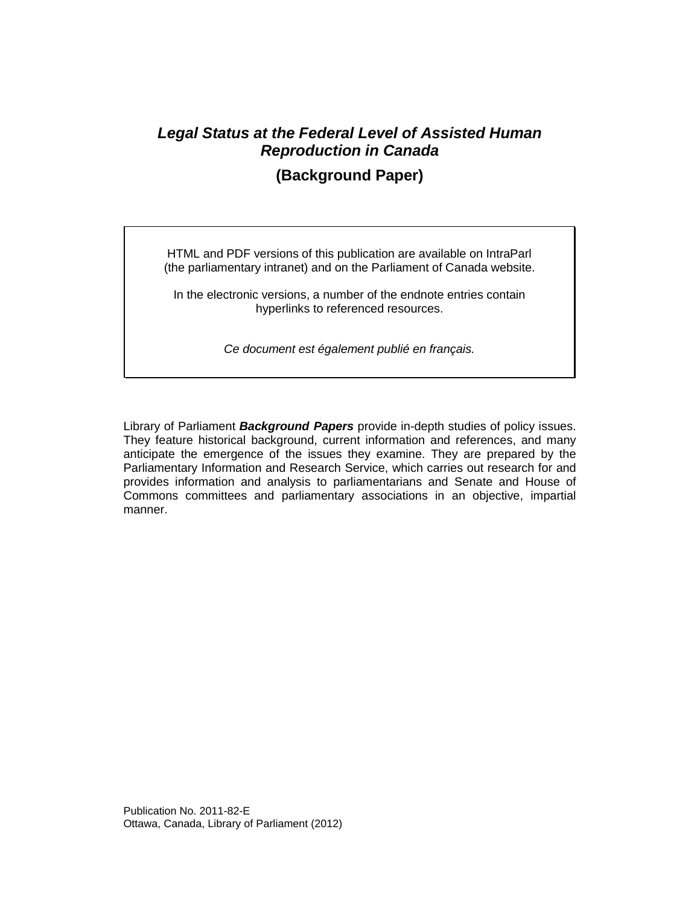## *Legal Status at the Federal Level of Assisted Human Reproduction in Canada*

## **(Background Paper)**

HTML and PDF versions of this publication are available on IntraParl (the parliamentary intranet) and on the Parliament of Canada website.

In the electronic versions, a number of the endnote entries contain hyperlinks to referenced resources.

*Ce document est également publié en français.*

Library of Parliament *Background Papers* provide in-depth studies of policy issues. They feature historical background, current information and references, and many anticipate the emergence of the issues they examine. They are prepared by the Parliamentary Information and Research Service, which carries out research for and provides information and analysis to parliamentarians and Senate and House of Commons committees and parliamentary associations in an objective, impartial manner.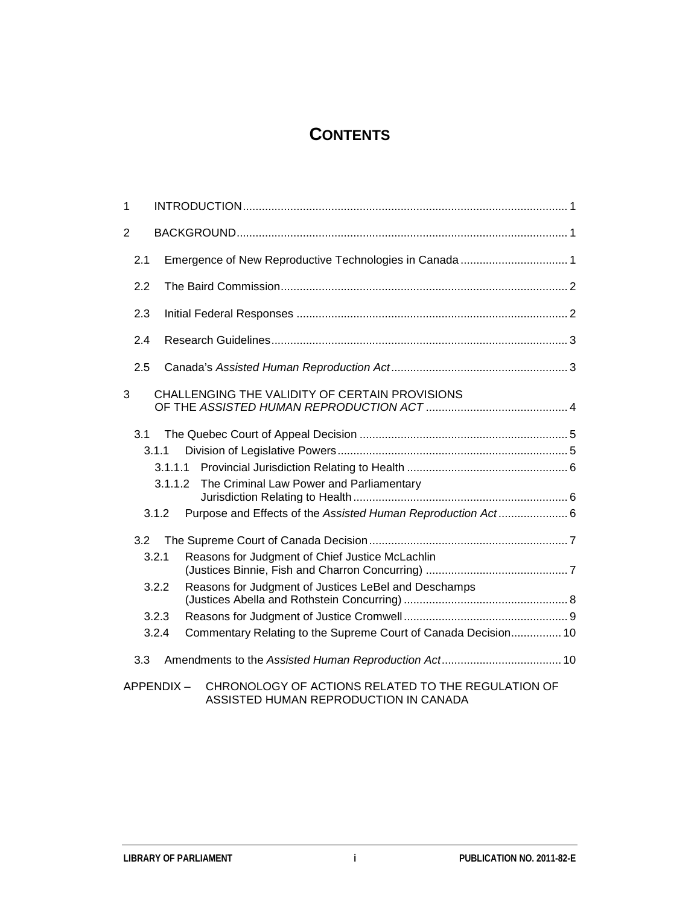## **CONTENTS**

| 1   |       |                                                                 |  |
|-----|-------|-----------------------------------------------------------------|--|
| 2   |       |                                                                 |  |
| 2.1 |       |                                                                 |  |
| 2.2 |       |                                                                 |  |
| 2.3 |       |                                                                 |  |
| 2.4 |       |                                                                 |  |
| 2.5 |       |                                                                 |  |
| 3   |       | CHALLENGING THE VALIDITY OF CERTAIN PROVISIONS                  |  |
| 3.1 |       |                                                                 |  |
|     | 3.1.1 |                                                                 |  |
|     |       |                                                                 |  |
|     |       | The Criminal Law Power and Parliamentary<br>3.1.1.2             |  |
|     | 3.1.2 | Purpose and Effects of the Assisted Human Reproduction Act 6    |  |
| 3.2 |       |                                                                 |  |
|     | 3.2.1 | Reasons for Judgment of Chief Justice McLachlin                 |  |
|     | 3.2.2 | Reasons for Judgment of Justices LeBel and Deschamps            |  |
|     | 3.2.3 |                                                                 |  |
|     | 3.2.4 | Commentary Relating to the Supreme Court of Canada Decision 10  |  |
| 3.3 |       |                                                                 |  |
|     |       | CHRONOLOGY OF ACTIONS RELATED TO THE REGULATION OF<br>APPENDIX- |  |

ASSISTED HUMAN REPRODUCTION IN CANADA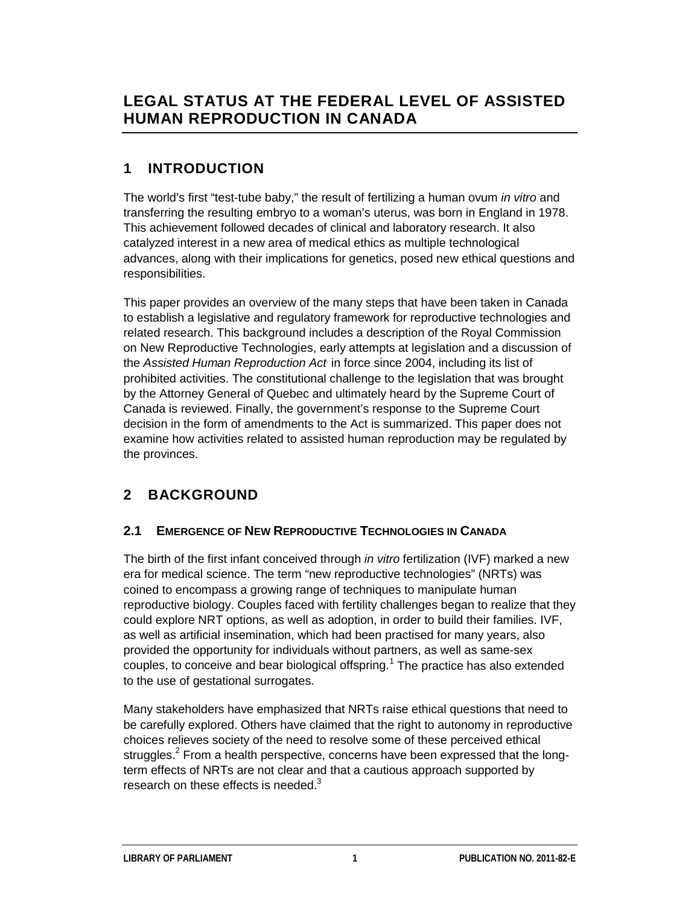## **LEGAL STATUS AT THE FEDERAL LEVEL OF ASSISTED HUMAN REPRODUCTION IN CANADA**

## **1 INTRODUCTION**

The world's first "test-tube baby," the result of fertilizing a human ovum *in vitro* and transferring the resulting embryo to a woman's uterus, was born in England in 1978. This achievement followed decades of clinical and laboratory research. It also catalyzed interest in a new area of medical ethics as multiple technological advances, along with their implications for genetics, posed new ethical questions and responsibilities.

This paper provides an overview of the many steps that have been taken in Canada to establish a legislative and regulatory framework for reproductive technologies and related research. This background includes a description of the Royal Commission on New Reproductive Technologies, early attempts at legislation and a discussion of the *Assisted Human Reproduction Act*, in force since 2004, including its list of prohibited activities. The constitutional challenge to the legislation that was brought by the Attorney General of Quebec and ultimately heard by the Supreme Court of Canada is reviewed. Finally, the government's response to the Supreme Court decision in the form of amendments to the Act is summarized. This paper does not examine how activities related to assisted human reproduction may be regulated by the provinces.

## **2 BACKGROUND**

### **2.1 EMERGENCE OF NEW REPRODUCTIVE TECHNOLOGIES IN CANADA**

The birth of the first infant conceived through *in vitro* fertilization (IVF) marked a new era for medical science. The term "new reproductive technologies" (NRTs) was coined to encompass a growing range of techniques to manipulate human reproductive biology. Couples faced with fertility challenges began to realize that they could explore NRT options, as well as adoption, in order to build their families. IVF, as well as artificial insemination, which had been practised for many years, also provided the opportunity for individuals without partners, as well as same-sex couples, to conceive and bear biological offspring.<sup>[1](#page-13-0)</sup> The practice has also extended to the use of gestational surrogates.

Many stakeholders have emphasized that NRTs raise ethical questions that need to be carefully explored. Others have claimed that the right to autonomy in reproductive choices relieves society of the need to resolve some of these perceived ethical struggles.<sup>2</sup> From a health perspective, concerns have been expressed that the longterm effects of NRTs are not clear and that a cautious approach supported by research on these effects is needed.<sup>3</sup>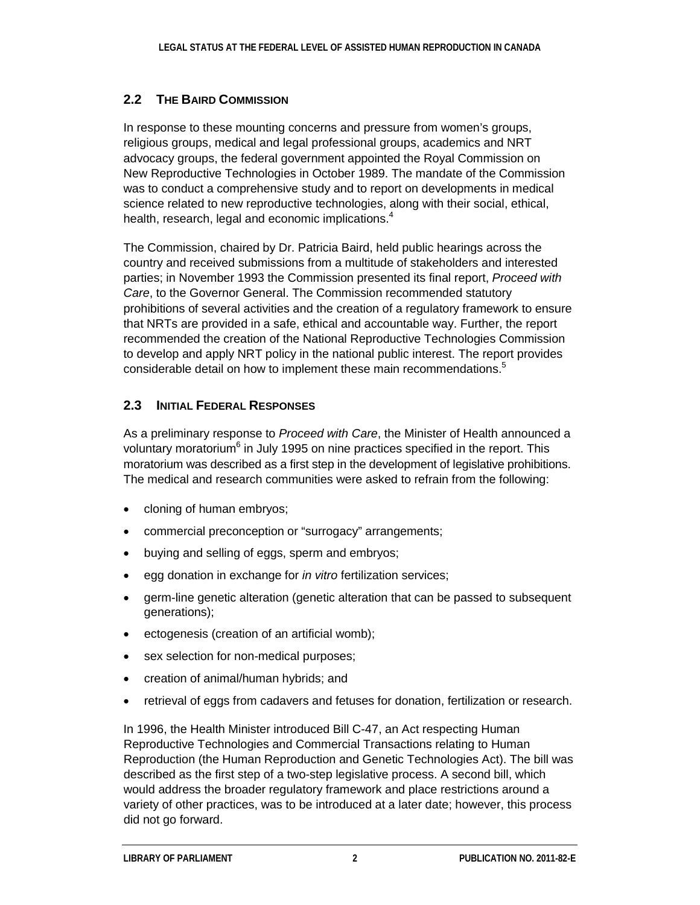#### **2.2 THE BAIRD COMMISSION**

In response to these mounting concerns and pressure from women's groups, religious groups, medical and legal professional groups, academics and NRT advocacy groups, the federal government appointed the Royal Commission on New Reproductive Technologies in October 1989. The mandate of the Commission was to conduct a comprehensive study and to report on developments in medical science related to new reproductive technologies, along with their social, ethical, health, research, legal and economic implications.<sup>4</sup>

The Commission, chaired by Dr. Patricia Baird, held public hearings across the country and received submissions from a multitude of stakeholders and interested parties; in November 1993 the Commission presented its final report, *Proceed with Care*, to the Governor General. The Commission recommended statutory prohibitions of several activities and the creation of a regulatory framework to ensure that NRTs are provided in a safe, ethical and accountable way. Further, the report recommended the creation of the National Reproductive Technologies Commission to develop and apply NRT policy in the national public interest. The report provides considerable detail on how to implement these main recommendations.<sup>5</sup>

### **2.3 INITIAL FEDERAL RESPONSES**

As a preliminary response to *Proceed with Care*, the Minister of Health announced a voluntary moratorium<sup>6</sup> in July 1995 on nine practices specified in the report. This moratorium was described as a first step in the development of legislative prohibitions. The medical and research communities were asked to refrain from the following:

- cloning of human embryos;
- commercial preconception or "surrogacy" arrangements;
- buying and selling of eggs, sperm and embryos;
- egg donation in exchange for *in vitro* fertilization services;
- germ-line genetic alteration (genetic alteration that can be passed to subsequent generations);
- ectogenesis (creation of an artificial womb);
- sex selection for non-medical purposes;
- creation of animal/human hybrids; and
- retrieval of eggs from cadavers and fetuses for donation, fertilization or research.

In 1996, the Health Minister introduced Bill C-47, an Act respecting Human Reproductive Technologies and Commercial Transactions relating to Human Reproduction (the Human Reproduction and Genetic Technologies Act). The bill was described as the first step of a two-step legislative process. A second bill, which would address the broader regulatory framework and place restrictions around a variety of other practices, was to be introduced at a later date; however, this process did not go forward.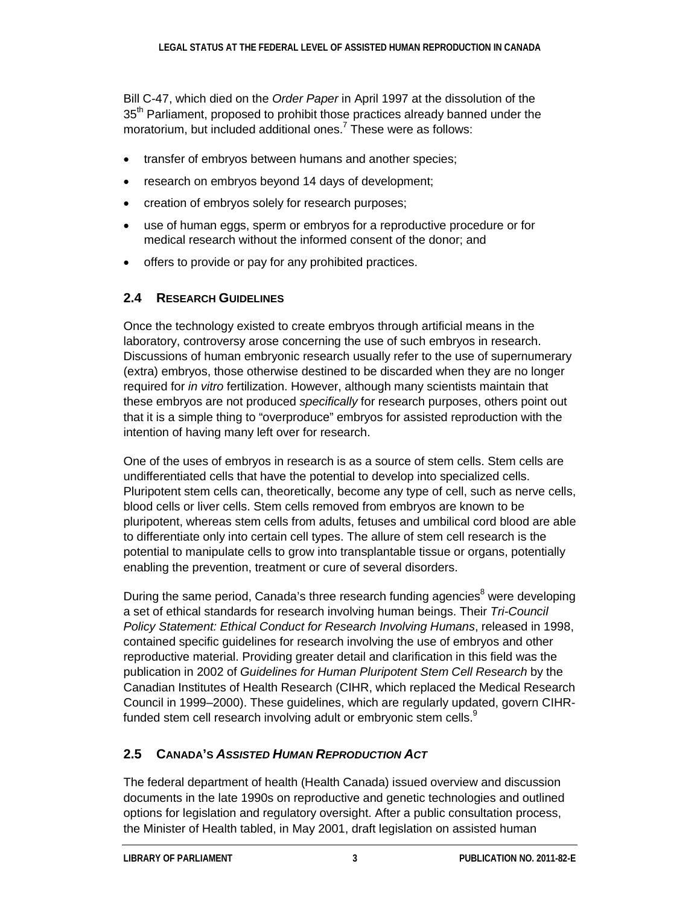Bill C-47, which died on the *Order Paper* in April 1997 at the dissolution of the 35<sup>th</sup> Parliament, proposed to prohibit those practices already banned under the moratorium, but included additional ones.<sup>7</sup> These were as follows:

- transfer of embryos between humans and another species;
- research on embryos beyond 14 days of development;
- creation of embryos solely for research purposes;
- use of human eggs, sperm or embryos for a reproductive procedure or for medical research without the informed consent of the donor; and
- offers to provide or pay for any prohibited practices.

### **2.4 RESEARCH GUIDELINES**

Once the technology existed to create embryos through artificial means in the laboratory, controversy arose concerning the use of such embryos in research. Discussions of human embryonic research usually refer to the use of supernumerary (extra) embryos, those otherwise destined to be discarded when they are no longer required for *in vitro* fertilization. However, although many scientists maintain that these embryos are not produced *specifically* for research purposes, others point out that it is a simple thing to "overproduce" embryos for assisted reproduction with the intention of having many left over for research.

One of the uses of embryos in research is as a source of stem cells. Stem cells are undifferentiated cells that have the potential to develop into specialized cells. Pluripotent stem cells can, theoretically, become any type of cell, such as nerve cells, blood cells or liver cells. Stem cells removed from embryos are known to be pluripotent, whereas stem cells from adults, fetuses and umbilical cord blood are able to differentiate only into certain cell types. The allure of stem cell research is the potential to manipulate cells to grow into transplantable tissue or organs, potentially enabling the prevention, treatment or cure of several disorders.

During the same period, Canada's three research funding agencies<sup>8</sup> were developing a set of ethical standards for research involving human beings. Their *Tri-Council Policy Statement: Ethical Conduct for Research Involving Humans*, released in 1998, contained specific guidelines for research involving the use of embryos and other reproductive material. Providing greater detail and clarification in this field was the publication in 2002 of *Guidelines for Human Pluripotent Stem Cell Research* by the Canadian Institutes of Health Research (CIHR, which replaced the Medical Research Council in 1999–2000). These guidelines, which are regularly updated, govern CIHRfunded stem cell research involving adult or embryonic stem cells.<sup>9</sup>

## **2.5 CANADA'S** *ASSISTED HUMAN REPRODUCTION ACT*

The federal department of health (Health Canada) issued overview and discussion documents in the late 1990s on reproductive and genetic technologies and outlined options for legislation and regulatory oversight. After a public consultation process, the Minister of Health tabled, in May 2001, draft legislation on assisted human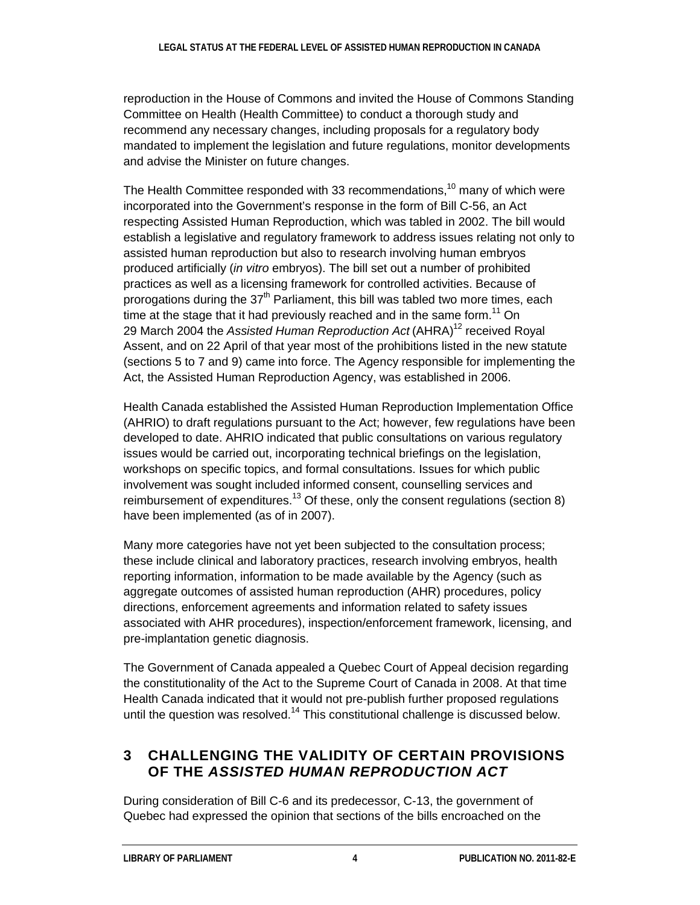reproduction in the House of Commons and invited the House of Commons Standing Committee on Health (Health Committee) to conduct a thorough study and recommend any necessary changes, including proposals for a regulatory body mandated to implement the legislation and future regulations, monitor developments and advise the Minister on future changes.

The Health Committee responded with 33 recommendations,<sup>10</sup> many of which were incorporated into the Government's response in the form of Bill C-56, an Act respecting Assisted Human Reproduction, which was tabled in 2002. The bill would establish a legislative and regulatory framework to address issues relating not only to assisted human reproduction but also to research involving human embryos produced artificially (*in vitro* embryos). The bill set out a number of prohibited practices as well as a licensing framework for controlled activities. Because of prorogations during the 37<sup>th</sup> Parliament, this bill was tabled two more times, each time at the stage that it had previously reached and in the same form.<sup>11</sup> On 29 March 2004 the *Assisted Human Reproduction Act* (AHRA) <sup>12</sup> received Royal Assent, and on 22 April of that year most of the prohibitions listed in the new statute (sections 5 to 7 and 9) came into force. The Agency responsible for implementing the Act, the Assisted Human Reproduction Agency, was established in 2006.

Health Canada established the Assisted Human Reproduction Implementation Office (AHRIO) to draft regulations pursuant to the Act; however, few regulations have been developed to date. AHRIO indicated that public consultations on various regulatory issues would be carried out, incorporating technical briefings on the legislation, workshops on specific topics, and formal consultations. Issues for which public involvement was sought included informed consent, counselling services and reimbursement of expenditures.<sup>13</sup> Of these, only the consent regulations (section 8) have been implemented (as of in 2007).

Many more categories have not yet been subjected to the consultation process; these include clinical and laboratory practices, research involving embryos, health reporting information, information to be made available by the Agency (such as aggregate outcomes of assisted human reproduction (AHR) procedures, policy directions, enforcement agreements and information related to safety issues associated with AHR procedures), inspection/enforcement framework, licensing, and pre-implantation genetic diagnosis.

The Government of Canada appealed a Quebec Court of Appeal decision regarding the constitutionality of the Act to the Supreme Court of Canada in 2008. At that time Health Canada indicated that it would not pre-publish further proposed regulations until the question was resolved.<sup>14</sup> This constitutional challenge is discussed below.

### **3 CHALLENGING THE VALIDITY OF CERTAIN PROVISIONS OF THE** *ASSISTED HUMAN REPRODUCTION ACT*

During consideration of Bill C-6 and its predecessor, C-13, the government of Quebec had expressed the opinion that sections of the bills encroached on the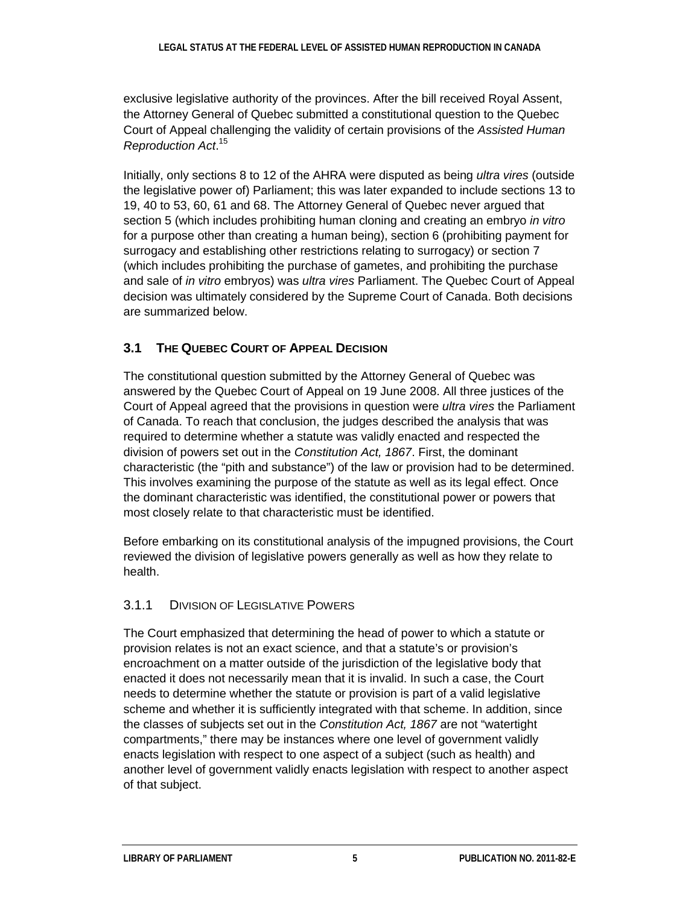exclusive legislative authority of the provinces. After the bill received Royal Assent, the Attorney General of Quebec submitted a constitutional question to the Quebec Court of Appeal challenging the validity of certain provisions of the *Assisted Human Reproduction Act*. 15

Initially, only sections 8 to 12 of the AHRA were disputed as being *ultra vires* (outside the legislative power of) Parliament; this was later expanded to include sections 13 to 19, 40 to 53, 60, 61 and 68. The Attorney General of Quebec never argued that section 5 (which includes prohibiting human cloning and creating an embryo *in vitro*  for a purpose other than creating a human being), section 6 (prohibiting payment for surrogacy and establishing other restrictions relating to surrogacy) or section 7 (which includes prohibiting the purchase of gametes, and prohibiting the purchase and sale of *in vitro* embryos) was *ultra vires* Parliament. The Quebec Court of Appeal decision was ultimately considered by the Supreme Court of Canada. Both decisions are summarized below.

### **3.1 THE QUEBEC COURT OF APPEAL DECISION**

The constitutional question submitted by the Attorney General of Quebec was answered by the Quebec Court of Appeal on 19 June 2008. All three justices of the Court of Appeal agreed that the provisions in question were *ultra vires* the Parliament of Canada. To reach that conclusion, the judges described the analysis that was required to determine whether a statute was validly enacted and respected the division of powers set out in the *Constitution Act, 1867*. First, the dominant characteristic (the "pith and substance") of the law or provision had to be determined. This involves examining the purpose of the statute as well as its legal effect. Once the dominant characteristic was identified, the constitutional power or powers that most closely relate to that characteristic must be identified.

Before embarking on its constitutional analysis of the impugned provisions, the Court reviewed the division of legislative powers generally as well as how they relate to health.

#### 3.1.1 DIVISION OF LEGISLATIVE POWERS

The Court emphasized that determining the head of power to which a statute or provision relates is not an exact science, and that a statute's or provision's encroachment on a matter outside of the jurisdiction of the legislative body that enacted it does not necessarily mean that it is invalid. In such a case, the Court needs to determine whether the statute or provision is part of a valid legislative scheme and whether it is sufficiently integrated with that scheme. In addition, since the classes of subjects set out in the *Constitution Act, 1867* are not "watertight compartments," there may be instances where one level of government validly enacts legislation with respect to one aspect of a subject (such as health) and another level of government validly enacts legislation with respect to another aspect of that subject.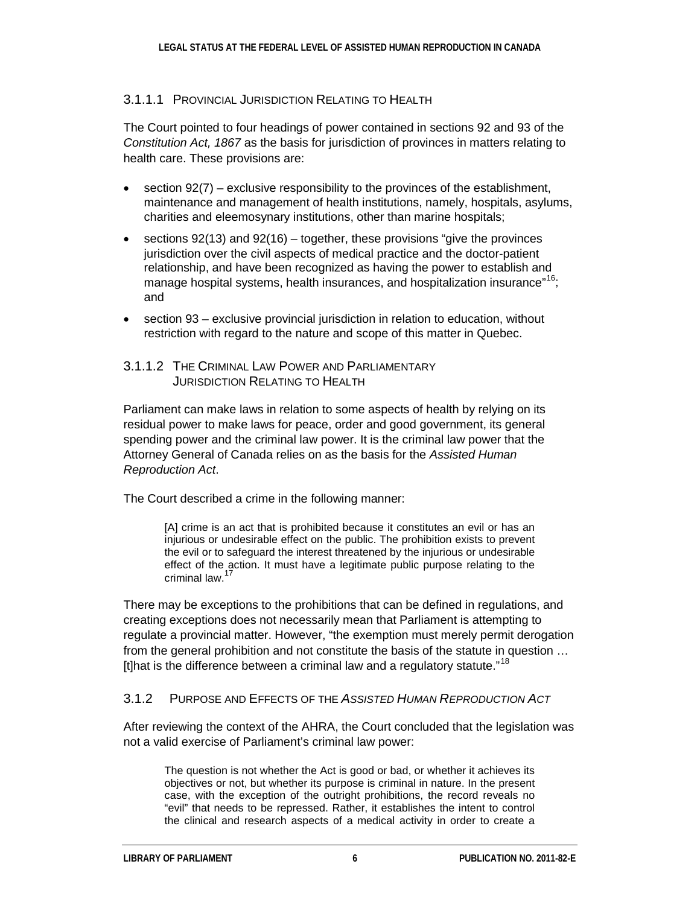#### 3.1.1.1 PROVINCIAL JURISDICTION RELATING TO HEALTH

The Court pointed to four headings of power contained in sections 92 and 93 of the *Constitution Act, 1867* as the basis for jurisdiction of provinces in matters relating to health care. These provisions are:

- section 92(7) exclusive responsibility to the provinces of the establishment, maintenance and management of health institutions, namely, hospitals, asylums, charities and eleemosynary institutions, other than marine hospitals;
- sections  $92(13)$  and  $92(16)$  together, these provisions "give the provinces" jurisdiction over the civil aspects of medical practice and the doctor-patient relationship, and have been recognized as having the power to establish and manage hospital systems, health insurances, and hospitalization insurance"<sup>16</sup>; and
- section 93 exclusive provincial jurisdiction in relation to education, without restriction with regard to the nature and scope of this matter in Quebec.
- 3.1.1.2 THE CRIMINAL LAW POWER AND PARLIAMENTARY JURISDICTION RELATING TO HEALTH

Parliament can make laws in relation to some aspects of health by relying on its residual power to make laws for peace, order and good government, its general spending power and the criminal law power. It is the criminal law power that the Attorney General of Canada relies on as the basis for the *Assisted Human Reproduction Act*.

The Court described a crime in the following manner:

[A] crime is an act that is prohibited because it constitutes an evil or has an injurious or undesirable effect on the public. The prohibition exists to prevent the evil or to safeguard the interest threatened by the injurious or undesirable effect of the action. It must have a legitimate public purpose relating to the criminal law.<sup>17</sup>

There may be exceptions to the prohibitions that can be defined in regulations, and creating exceptions does not necessarily mean that Parliament is attempting to regulate a provincial matter. However, "the exemption must merely permit derogation from the general prohibition and not constitute the basis of the statute in question … [t]hat is the difference between a criminal law and a regulatory statute."<sup>18</sup>

#### 3.1.2 PURPOSE AND EFFECTS OF THE *ASSISTED HUMAN REPRODUCTION ACT*

After reviewing the context of the AHRA, the Court concluded that the legislation was not a valid exercise of Parliament's criminal law power:

The question is not whether the Act is good or bad, or whether it achieves its objectives or not, but whether its purpose is criminal in nature. In the present case, with the exception of the outright prohibitions, the record reveals no "evil" that needs to be repressed. Rather, it establishes the intent to control the clinical and research aspects of a medical activity in order to create a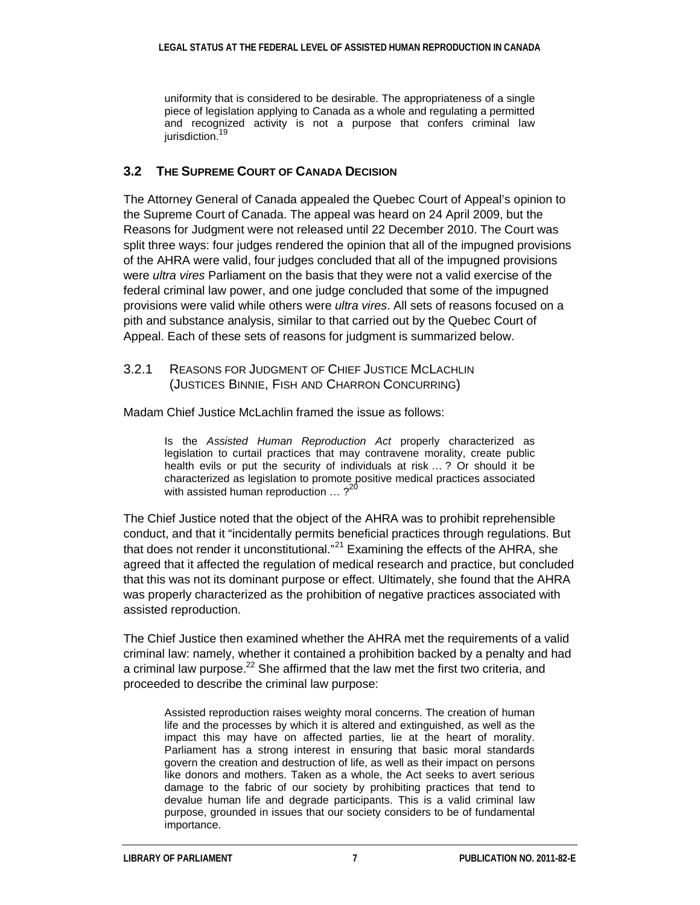uniformity that is considered to be desirable. The appropriateness of a single piece of legislation applying to Canada as a whole and regulating a permitted and recognized activity is not a purpose that confers criminal law jurisdiction.<sup>19</sup>

#### **3.2 THE SUPREME COURT OF CANADA DECISION**

The Attorney General of Canada appealed the Quebec Court of Appeal's opinion to the Supreme Court of Canada. The appeal was heard on 24 April 2009, but the Reasons for Judgment were not released until 22 December 2010. The Court was split three ways: four judges rendered the opinion that all of the impugned provisions of the AHRA were valid, four judges concluded that all of the impugned provisions were *ultra vires* Parliament on the basis that they were not a valid exercise of the federal criminal law power, and one judge concluded that some of the impugned provisions were valid while others were *ultra vires*. All sets of reasons focused on a pith and substance analysis, similar to that carried out by the Quebec Court of Appeal. Each of these sets of reasons for judgment is summarized below.

#### 3.2.1 REASONS FOR JUDGMENT OF CHIEF JUSTICE MCLACHLIN (JUSTICES BINNIE, FISH AND CHARRON CONCURRING)

Madam Chief Justice McLachlin framed the issue as follows:

Is the *Assisted Human Reproduction Act* properly characterized as legislation to curtail practices that may contravene morality, create public health evils or put the security of individuals at risk … ? Or should it be characterized as legislation to promote positive medical practices associated with assisted human reproduction  $\ldots$  ?<sup>20</sup>

The Chief Justice noted that the object of the AHRA was to prohibit reprehensible conduct, and that it "incidentally permits beneficial practices through regulations. But that does not render it unconstitutional."<sup>21</sup> Examining the effects of the AHRA, she agreed that it affected the regulation of medical research and practice, but concluded that this was not its dominant purpose or effect. Ultimately, she found that the AHRA was properly characterized as the prohibition of negative practices associated with assisted reproduction.

The Chief Justice then examined whether the AHRA met the requirements of a valid criminal law: namely, whether it contained a prohibition backed by a penalty and had a criminal law purpose. $^{22}$  She affirmed that the law met the first two criteria, and proceeded to describe the criminal law purpose:

Assisted reproduction raises weighty moral concerns. The creation of human life and the processes by which it is altered and extinguished, as well as the impact this may have on affected parties, lie at the heart of morality. Parliament has a strong interest in ensuring that basic moral standards govern the creation and destruction of life, as well as their impact on persons like donors and mothers. Taken as a whole, the Act seeks to avert serious damage to the fabric of our society by prohibiting practices that tend to devalue human life and degrade participants. This is a valid criminal law purpose, grounded in issues that our society considers to be of fundamental importance.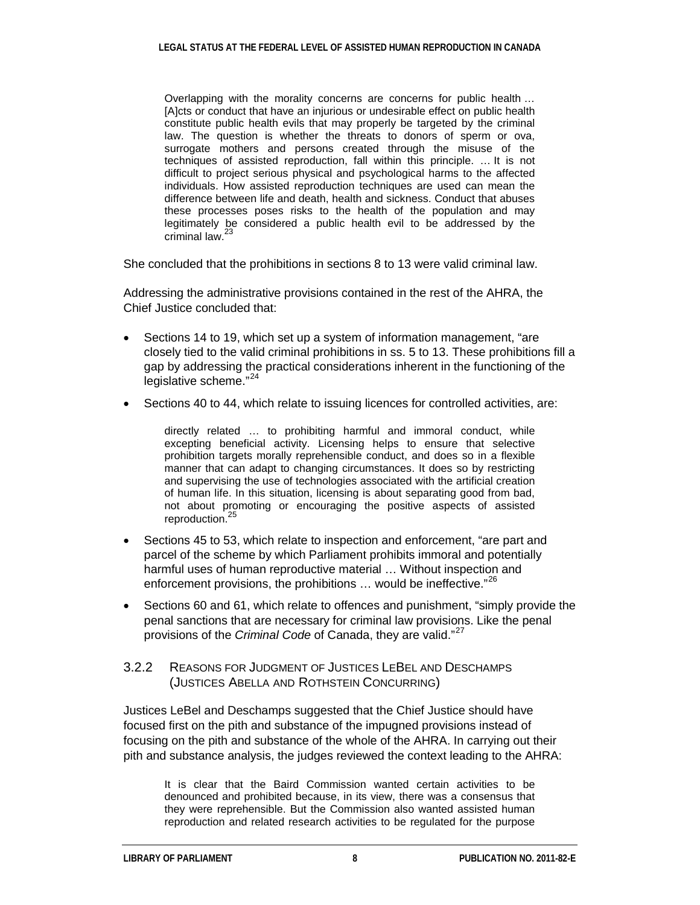Overlapping with the morality concerns are concerns for public health … [A]cts or conduct that have an injurious or undesirable effect on public health constitute public health evils that may properly be targeted by the criminal law. The question is whether the threats to donors of sperm or ova, surrogate mothers and persons created through the misuse of the techniques of assisted reproduction, fall within this principle. … It is not difficult to project serious physical and psychological harms to the affected individuals. How assisted reproduction techniques are used can mean the difference between life and death, health and sickness. Conduct that abuses these processes poses risks to the health of the population and may legitimately be considered a public health evil to be addressed by the criminal law.<sup>23</sup>

She concluded that the prohibitions in sections 8 to 13 were valid criminal law.

Addressing the administrative provisions contained in the rest of the AHRA, the Chief Justice concluded that:

- Sections 14 to 19, which set up a system of information management, "are closely tied to the valid criminal prohibitions in ss. 5 to 13. These prohibitions fill a gap by addressing the practical considerations inherent in the functioning of the legislative scheme."24
- Sections 40 to 44, which relate to issuing licences for controlled activities, are:

directly related … to prohibiting harmful and immoral conduct, while excepting beneficial activity. Licensing helps to ensure that selective prohibition targets morally reprehensible conduct, and does so in a flexible manner that can adapt to changing circumstances. It does so by restricting and supervising the use of technologies associated with the artificial creation of human life. In this situation, licensing is about separating good from bad, not about promoting or encouraging the positive aspects of assisted reproduction.<sup>25</sup>

- Sections 45 to 53, which relate to inspection and enforcement, "are part and parcel of the scheme by which Parliament prohibits immoral and potentially harmful uses of human reproductive material … Without inspection and enforcement provisions, the prohibitions ... would be ineffective."<sup>26</sup>
- Sections 60 and 61, which relate to offences and punishment, "simply provide the penal sanctions that are necessary for criminal law provisions. Like the penal provisions of the *Criminal Code* of Canada, they are valid." 27

#### 3.2.2 REASONS FOR JUDGMENT OF JUSTICES LEBEL AND DESCHAMPS (JUSTICES ABELLA AND ROTHSTEIN CONCURRING)

Justices LeBel and Deschamps suggested that the Chief Justice should have focused first on the pith and substance of the impugned provisions instead of focusing on the pith and substance of the whole of the AHRA. In carrying out their pith and substance analysis, the judges reviewed the context leading to the AHRA:

It is clear that the Baird Commission wanted certain activities to be denounced and prohibited because, in its view, there was a consensus that they were reprehensible. But the Commission also wanted assisted human reproduction and related research activities to be regulated for the purpose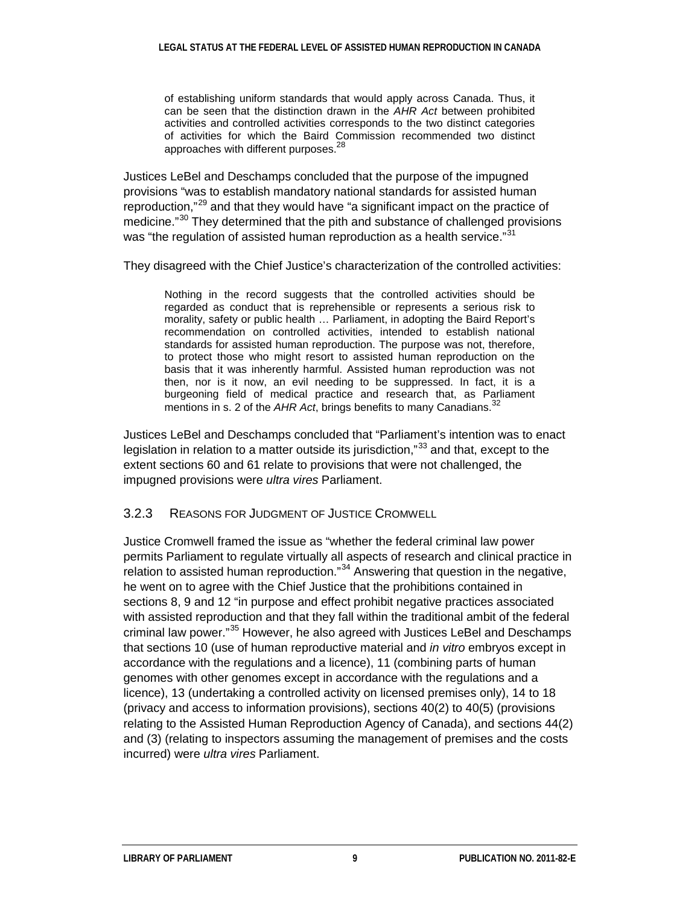of establishing uniform standards that would apply across Canada. Thus, it can be seen that the distinction drawn in the *AHR Act* between prohibited activities and controlled activities corresponds to the two distinct categories of activities for which the Baird Commission recommended two distinct approaches with different purposes.<sup>28</sup>

Justices LeBel and Deschamps concluded that the purpose of the impugned provisions "was to establish mandatory national standards for assisted human reproduction,"<sup>29</sup> and that they would have "a significant impact on the practice of medicine."<sup>30</sup> They determined that the pith and substance of challenged provisions was "the regulation of assisted human reproduction as a health service."<sup>31</sup>

They disagreed with the Chief Justice's characterization of the controlled activities:

Nothing in the record suggests that the controlled activities should be regarded as conduct that is reprehensible or represents a serious risk to morality, safety or public health … Parliament, in adopting the Baird Report's recommendation on controlled activities, intended to establish national standards for assisted human reproduction. The purpose was not, therefore, to protect those who might resort to assisted human reproduction on the basis that it was inherently harmful. Assisted human reproduction was not then, nor is it now, an evil needing to be suppressed. In fact, it is a burgeoning field of medical practice and research that, as Parliament mentions in s. 2 of the *AHR Act*, brings benefits to many Canadians.<sup>32</sup>

Justices LeBel and Deschamps concluded that "Parliament's intention was to enact legislation in relation to a matter outside its jurisdiction,"<sup>33</sup> and that, except to the extent sections 60 and 61 relate to provisions that were not challenged, the impugned provisions were *ultra vires* Parliament.

3.2.3 REASONS FOR JUDGMENT OF JUSTICE CROMWELL

Justice Cromwell framed the issue as "whether the federal criminal law power permits Parliament to regulate virtually all aspects of research and clinical practice in relation to assisted human reproduction."<sup>34</sup> Answering that question in the negative, he went on to agree with the Chief Justice that the prohibitions contained in sections 8, 9 and 12 "in purpose and effect prohibit negative practices associated with assisted reproduction and that they fall within the traditional ambit of the federal criminal law power."<sup>35</sup> However, he also agreed with Justices LeBel and Deschamps that sections 10 (use of human reproductive material and *in vitro* embryos except in accordance with the regulations and a licence), 11 (combining parts of human genomes with other genomes except in accordance with the regulations and a licence), 13 (undertaking a controlled activity on licensed premises only), 14 to 18 (privacy and access to information provisions), sections 40(2) to 40(5) (provisions relating to the Assisted Human Reproduction Agency of Canada), and sections 44(2) and (3) (relating to inspectors assuming the management of premises and the costs incurred) were *ultra vires* Parliament.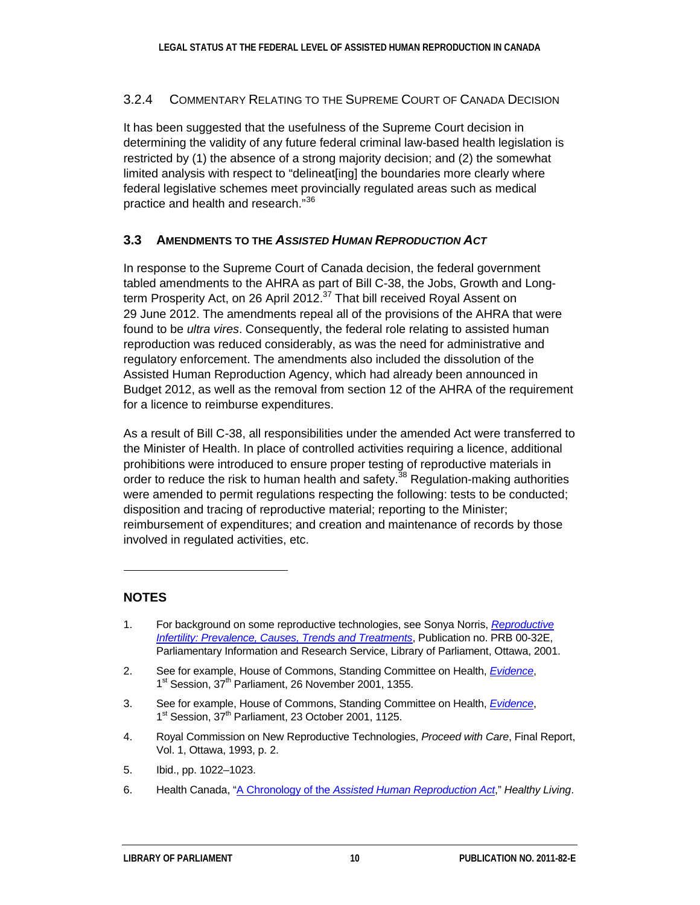#### 3.2.4 COMMENTARY RELATING TO THE SUPREME COURT OF CANADA DECISION

It has been suggested that the usefulness of the Supreme Court decision in determining the validity of any future federal criminal law-based health legislation is restricted by (1) the absence of a strong majority decision; and (2) the somewhat limited analysis with respect to "delineat[ing] the boundaries more clearly where federal legislative schemes meet provincially regulated areas such as medical practice and health and research." 36

### **3.3 AMENDMENTS TO THE** *ASSISTED HUMAN REPRODUCTION ACT*

In response to the Supreme Court of Canada decision, the federal government tabled amendments to the AHRA as part of Bill C-38, the Jobs, Growth and Longterm Prosperity Act, on 26 April 2012.<sup>37</sup> That bill received Royal Assent on 29 June 2012. The amendments repeal all of the provisions of the AHRA that were found to be *ultra vires*. Consequently, the federal role relating to assisted human reproduction was reduced considerably, as was the need for administrative and regulatory enforcement. The amendments also included the dissolution of the Assisted Human Reproduction Agency, which had already been announced in Budget 2012, as well as the removal from section 12 of the AHRA of the requirement for a licence to reimburse expenditures.

As a result of Bill C-38, all responsibilities under the amended Act were transferred to the Minister of Health. In place of controlled activities requiring a licence, additional prohibitions were introduced to ensure proper testing of reproductive materials in order to reduce the risk to human health and safety.<sup>38</sup> Regulation-making authorities were amended to permit regulations respecting the following: tests to be conducted; disposition and tracing of reproductive material; reporting to the Minister; reimbursement of expenditures; and creation and maintenance of records by those involved in regulated activities, etc.

### **NOTES**

 $\overline{a}$ 

- <span id="page-13-0"></span>1. For background on some reproductive technologies, see Sonya Norris, *[Reproductive](http://dsp-psd.pwgsc.gc.ca/Collection-R/LoPBdP/EB-e/prb0032-e.pdf)  [Infertility: Prevalence, Causes, Trends and Treatments](http://dsp-psd.pwgsc.gc.ca/Collection-R/LoPBdP/EB-e/prb0032-e.pdf)*, Publication no. PRB 00-32E, Parliamentary Information and Research Service, Library of Parliament, Ottawa, 2001.
- 2. See for example, House of Commons, Standing Committee on Health, *[Evidence](http://www.parl.gc.ca/HousePublications/Publication.aspx?DocId=1041199&Language=E&Mode=1&Parl=37&Ses=1)*, 1<sup>st</sup> Session, 37<sup>th</sup> Parliament, 26 November 2001, 1355.
- 3. See for example, House of Commons, Standing Committee on Health, *[Evidence](http://www.parl.gc.ca/HousePublications/Publication.aspx?DocId=1041030&Language=E&Mode=1&Parl=37&Ses=1)*, 1<sup>st</sup> Session, 37<sup>th</sup> Parliament, 23 October 2001, 1125.
- 4. Royal Commission on New Reproductive Technologies, *Proceed with Care*, Final Report, Vol. 1, Ottawa, 1993, p. 2.
- 5. Ibid., pp. 1022–1023.
- 6. Health Canada, "A Chronology of the *[Assisted Human Reproduction Act](http://www.hc-sc.gc.ca/hl-vs/reprod/hc-sc/general/chronolog-eng.php)*," *Healthy Living*.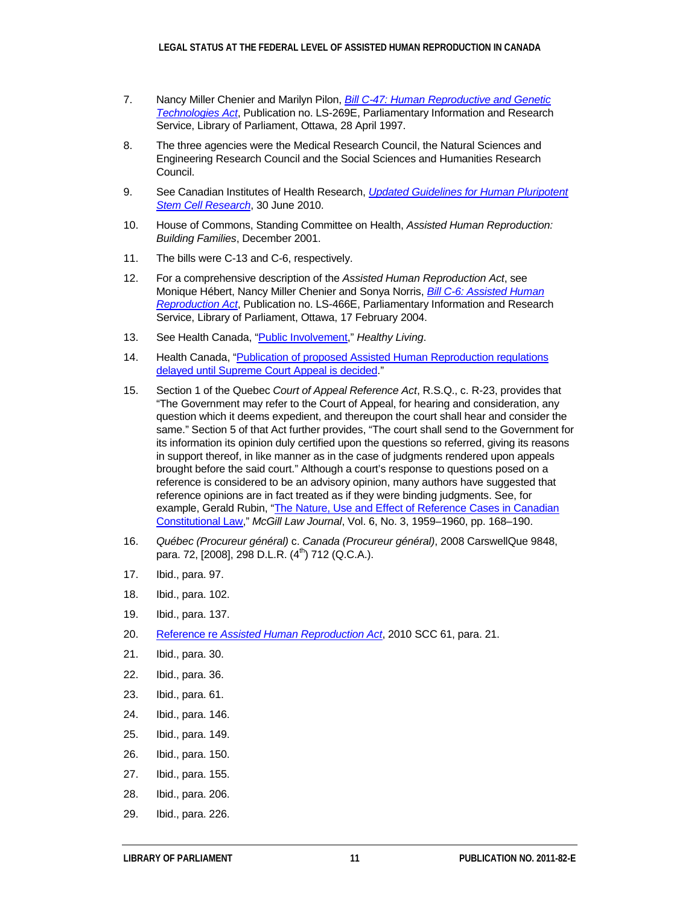- 7. Nancy Miller Chenier and Marilyn Pilon, *[Bill C-47: Human Reproductive and Genetic](http://lpintrabp.parl.gc.ca/lopimages2/PRBpubsArchive/publist/legislative352-e.asp)  [Technologies Act](http://lpintrabp.parl.gc.ca/lopimages2/PRBpubsArchive/publist/legislative352-e.asp)*, Publication no. LS-269E, Parliamentary Information and Research Service, Library of Parliament, Ottawa, 28 April 1997.
- 8. The three agencies were the Medical Research Council, the Natural Sciences and Engineering Research Council and the Social Sciences and Humanities Research Council.
- 9. See Canadian Institutes of Health Research, *[Updated Guidelines for Human Pluripotent](http://www.cihr-irsc.gc.ca/e/42071.html)  [Stem Cell Research](http://www.cihr-irsc.gc.ca/e/42071.html)*, 30 June 2010.
- 10. House of Commons, Standing Committee on Health, *Assisted Human Reproduction: Building Families*, December 2001.
- 11. The bills were C-13 and C-6, respectively.
- 12. For a comprehensive description of the *Assisted Human Reproduction Act*, see Monique Hébert, Nancy Miller Chenier and Sonya Norris, *[Bill C-6: Assisted Human](http://www.parl.gc.ca/About/Parliament/LegislativeSummaries/bills_ls.asp?Language=E&ls=C6&Mode=1&Parl=37&Ses=3&source=library_prb)  [Reproduction Act](http://www.parl.gc.ca/About/Parliament/LegislativeSummaries/bills_ls.asp?Language=E&ls=C6&Mode=1&Parl=37&Ses=3&source=library_prb)*, Publication no. LS-466E, Parliamentary Information and Research Service, Library of Parliament, Ottawa, 17 February 2004.
- 13. See Health Canada, ["Public Involvement,](http://www.hc-sc.gc.ca/hl-vs/reprod/hc-sc/public/index-eng.php)" *Healthy Living*.
- 14. Health Canada, "Publication of proposed Assisted Human Reproduction regulations [delayed until Supreme Court Appeal is decided."](http://www.hc-sc.gc.ca/hl-vs/reprod/hc-sc/legislation/delay-interruption-eng.php)
- 15. Section 1 of the Quebec *Court of Appeal Reference Act*, R.S.Q., c. R-23, provides that "The Government may refer to the Court of Appeal, for hearing and consideration, any question which it deems expedient, and thereupon the court shall hear and consider the same." Section 5 of that Act further provides, "The court shall send to the Government for its information its opinion duly certified upon the questions so referred, giving its reasons in support thereof, in like manner as in the case of judgments rendered upon appeals brought before the said court." Although a court's response to questions posed on a reference is considered to be an advisory opinion, many authors have suggested that reference opinions are in fact treated as if they were binding judgments. See, for example, Gerald Rubin, "The Nature, Use and Effect of Reference Cases in Canadian [Constitutional Law,](http://lawjournal.mcgill.ca/documents/6/3/rubin.pdf)" *McGill Law Journal*, Vol. 6, No. 3, 1959–1960, pp. 168–190.
- 16. *Québec (Procureur général)* c. *Canada (Procureur général)*, 2008 CarswellQue 9848, para. 72, [2008], 298 D.L.R.  $(4^{th})$  712 (Q.C.A.).
- 17. Ibid., para. 97.
- 18. Ibid., para. 102.
- 19. Ibid., para. 137.
- 20. Reference re *[Assisted Human Reproduction Act](http://scc.lexum.org/en/2010/2010scc61/2010scc61.html)*, 2010 SCC 61, para. 21.
- 21. Ibid., para. 30.
- 22. Ibid., para. 36.
- 23. Ibid., para. 61.
- 24. Ibid., para. 146.
- 25. Ibid., para. 149.
- 26. Ibid., para. 150.
- 27. Ibid., para. 155.
- 28. Ibid., para. 206.
- 29. Ibid., para. 226.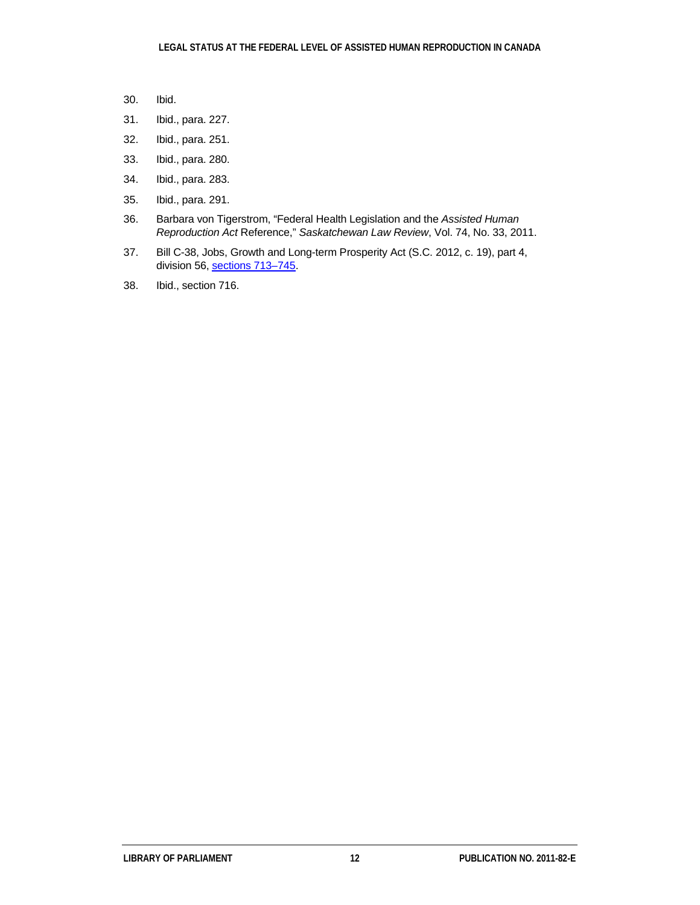- 30. Ibid.
- 31. Ibid., para. 227.
- 32. Ibid., para. 251.
- 33. Ibid., para. 280.
- 34. Ibid., para. 283.
- 35. Ibid., para. 291.
- 36. Barbara von Tigerstrom, "Federal Health Legislation and the *Assisted Human Reproduction Act* Reference," *Saskatchewan Law Review*, Vol. 74, No. 33, 2011.
- 37. Bill C-38, Jobs, Growth and Long-term Prosperity Act (S.C. 2012, c. 19), part 4, division 56, sections [713–745.](http://laws-lois.justice.gc.ca/eng/AnnualStatutes/2012_19/page-171.html#h-293)
- 38. Ibid., section 716.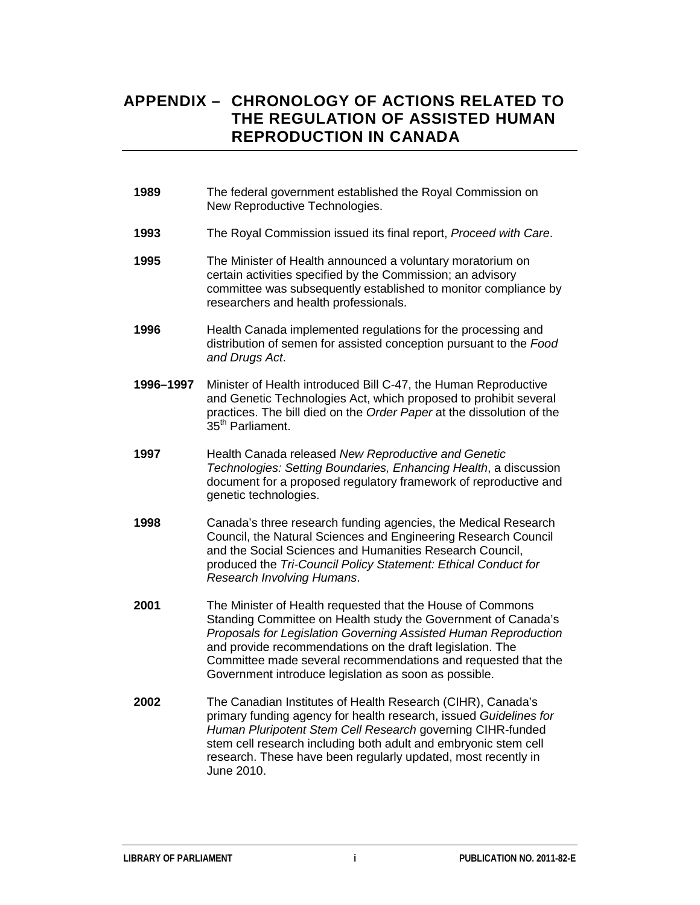## **APPENDIX – CHRONOLOGY OF ACTIONS RELATED TO THE REGULATION OF ASSISTED HUMAN REPRODUCTION IN CANADA**

- **1989** The federal government established the Royal Commission on New Reproductive Technologies.
- **1993** The Royal Commission issued its final report, *Proceed with Care*.
- **1995** The Minister of Health announced a voluntary moratorium on certain activities specified by the Commission; an advisory committee was subsequently established to monitor compliance by researchers and health professionals.
- **1996** Health Canada implemented regulations for the processing and distribution of semen for assisted conception pursuant to the *Food and Drugs Act*.
- **1996–1997** Minister of Health introduced Bill C-47, the Human Reproductive and Genetic Technologies Act, which proposed to prohibit several practices. The bill died on the *Order Paper* at the dissolution of the 35<sup>th</sup> Parliament.
- **1997** Health Canada released *New Reproductive and Genetic Technologies: Setting Boundaries, Enhancing Health*, a discussion document for a proposed regulatory framework of reproductive and genetic technologies.
- **1998** Canada's three research funding agencies, the Medical Research Council, the Natural Sciences and Engineering Research Council and the Social Sciences and Humanities Research Council, produced the *Tri-Council Policy Statement: Ethical Conduct for Research Involving Humans*.
- **2001** The Minister of Health requested that the House of Commons Standing Committee on Health study the Government of Canada's *Proposals for Legislation Governing Assisted Human Reproduction* and provide recommendations on the draft legislation. The Committee made several recommendations and requested that the Government introduce legislation as soon as possible.
- **2002** The Canadian Institutes of Health Research (CIHR), Canada's primary funding agency for health research, issued *Guidelines for Human Pluripotent Stem Cell Research* governing CIHR-funded stem cell research including both adult and embryonic stem cell research. These have been regularly updated, most recently in June 2010.